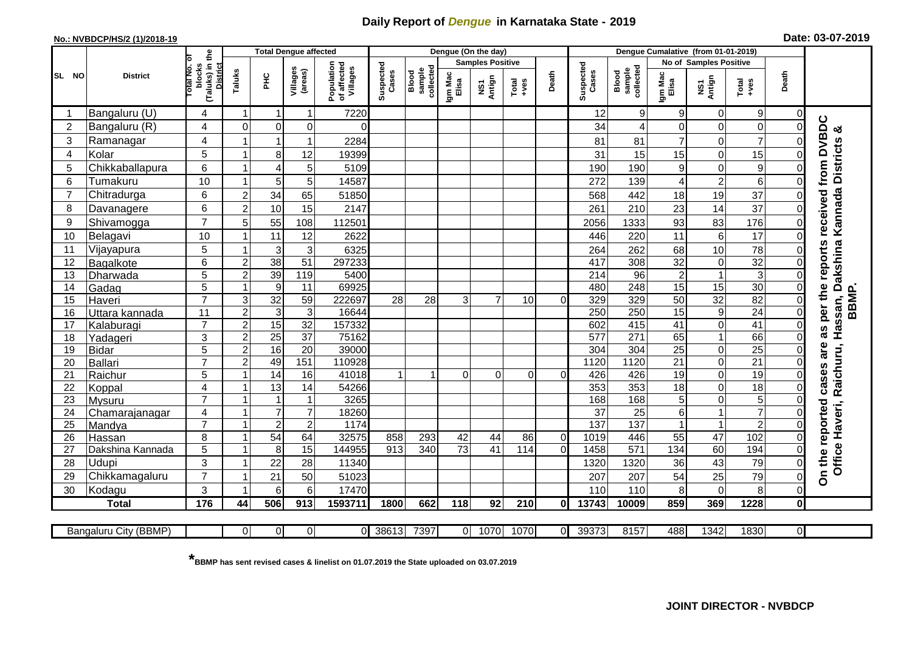## **Daily Report of** *Dengue* **in Karnataka State - 2019**

## **No.: NVBDCP/HS/2 (1)/2018-19**

|  | Date: 03-07-2019 |  |
|--|------------------|--|
|--|------------------|--|

|                |                          | £                                      |                         | <b>Total Dengue affected</b> |                     |                                       | Dengue (On the day) |                              |                  |                         |                 |                |                    | Dengue Cumalative (from 01-01-2019) |                  |                            |                                   |                      |                                      |  |  |
|----------------|--------------------------|----------------------------------------|-------------------------|------------------------------|---------------------|---------------------------------------|---------------------|------------------------------|------------------|-------------------------|-----------------|----------------|--------------------|-------------------------------------|------------------|----------------------------|-----------------------------------|----------------------|--------------------------------------|--|--|
|                | <b>District</b>          |                                        |                         |                              |                     |                                       |                     |                              |                  | <b>Samples Positive</b> |                 |                |                    |                                     |                  | No of Samples Positive     |                                   |                      |                                      |  |  |
| SL NO          |                          | otal No. ol<br>(Taluks) in t<br>blocks | Taluks                  | PНC                          | Villages<br>(areas) | Population<br>of affected<br>Villages | Suspected<br>Cases  | collected<br>sample<br>Blood | Igm Mac<br>Elisa | Antign<br>Σń            | Total<br>$+ves$ | Death          | Suspected<br>Cases | sample<br>collected<br>Blood        | Igm Mac<br>Elisa | NS1<br>Antign              | Total<br>$-1$                     | Death                |                                      |  |  |
|                | Bangaluru (U)            | 4                                      | 1                       | -1                           |                     | 7220                                  |                     |                              |                  |                         |                 |                | 12                 | 9                                   | 9                | 0                          | 9 <sub>l</sub>                    | $\Omega$             |                                      |  |  |
| $\overline{2}$ | Bangaluru (R)            | 4                                      | $\Omega$                | $\mathbf 0$                  | $\mathbf 0$         |                                       |                     |                              |                  |                         |                 |                | 34                 | $\overline{\mathbf{4}}$             | $\mathbf 0$      | $\mathbf 0$                | $\mathsf 0$                       | $\Omega$             | න්                                   |  |  |
| 3              | Ramanagar                | 4                                      |                         | 1                            |                     | 2284                                  |                     |                              |                  |                         |                 |                | 81                 | 81                                  | $\overline{7}$   | $\mathbf 0$                | $\overline{7}$                    | 0                    | received from DVBDC                  |  |  |
| 4              | Kolar                    | 5                                      | 1                       | 8                            | 12                  | 19399                                 |                     |                              |                  |                         |                 |                | 31                 | 15                                  | 15               | 0                          | 15                                | 0                    | Kannada Districts                    |  |  |
| 5              | Chikkaballapura          | 6                                      | 1                       | $\overline{4}$               | 5                   | 5109                                  |                     |                              |                  |                         |                 |                | 190                | 190                                 | $\boldsymbol{9}$ | $\mathbf 0$                | 9                                 | $\Omega$             |                                      |  |  |
| 6              | Tumakuru                 | 10                                     | 1                       | 5                            | 5                   | 14587                                 |                     |                              |                  |                         |                 |                | 272                | 139                                 | $\overline{4}$   | $\overline{c}$             | 6                                 | $\Omega$             |                                      |  |  |
| $\overline{7}$ | Chitradurga              | 6                                      | $\overline{c}$          | 34                           | 65                  | 51850                                 |                     |                              |                  |                         |                 |                | 568                | 442                                 | 18               | 19                         | 37                                | $\Omega$             |                                      |  |  |
| 8              | Davanagere               | 6                                      | $\overline{2}$          | 10                           | 15                  | 2147                                  |                     |                              |                  |                         |                 |                | 261                | 210                                 | 23               | 14                         | 37                                | $\Omega$             |                                      |  |  |
| 9              | Shivamogga               | $\overline{7}$                         | 5                       | 55                           | 108                 | 112501                                |                     |                              |                  |                         |                 |                | 2056               | 1333                                | 93               | 83                         | 176                               | 0                    |                                      |  |  |
| 10             | Belagavi                 | 10                                     |                         | 11                           | 12                  | 2622                                  |                     |                              |                  |                         |                 |                | 446                | 220                                 | 11               | 6                          | 17                                | $\mathbf 0$          |                                      |  |  |
| 11             | Vijayapura               | 5                                      | 1                       | 3                            | 3                   | 6325                                  |                     |                              |                  |                         |                 |                | 264                | 262                                 | 68               | 10                         | 78                                | 0                    | as per the reports<br>ssan, Dakshina |  |  |
| 12             | Bagalkote                | 6                                      | $\overline{2}$          | $\overline{38}$              | $\overline{51}$     | 297233                                |                     |                              |                  |                         |                 |                | 417                | 308                                 | 32               | 0                          | 32                                | 0                    |                                      |  |  |
| 13             | Dharwada                 | 5                                      | $\overline{c}$          | 39                           | 119                 | 5400                                  |                     |                              |                  |                         |                 |                | 214                | $\overline{96}$                     | $\overline{2}$   | $\mathbf{1}$               | دی                                | $\Omega$             |                                      |  |  |
| 14             | Gadag                    | 5                                      | $\mathbf{1}$            | $\boldsymbol{9}$             | 11                  | 69925                                 |                     |                              |                  |                         |                 |                | 480                | 248                                 | 15               | $\overline{15}$            | $\overline{30}$                   | $\Omega$             |                                      |  |  |
| 15             | Haveri                   | $\overline{7}$                         | 3                       | $\overline{32}$              | 59                  | 222697                                | 28                  | 28                           | 3                | $\overline{7}$          | 10              | $\Omega$       | 329                | 329                                 | 50               | 32                         | 82                                | $\Omega$             | <b>BBMP</b>                          |  |  |
| 16             | Uttara kannada           | 11                                     | $\overline{\mathbf{c}}$ | $\mathbf{3}$                 | $\mathbf{3}$        | 16644                                 |                     |                              |                  |                         |                 |                | 250                | 250                                 | 15               | 9                          | 24                                | $\mathbf 0$          |                                      |  |  |
| 17             | Kalaburagi               | $\overline{7}$                         | $\overline{2}$          | 15                           | $\overline{32}$     | 157332                                |                     |                              |                  |                         |                 |                | 602                | 415                                 | $\overline{41}$  | $\mathbf 0$                | $\overline{41}$                   | $\Omega$             | $\frac{a}{\pi}$                      |  |  |
| 18             | Yadageri                 | 3                                      | $\overline{c}$          | $\overline{25}$              | $\overline{37}$     | 75162                                 |                     |                              |                  |                         |                 |                | 577                | 271                                 | 65               | $\overline{1}$             | 66                                | $\Omega$             |                                      |  |  |
| 19             | <b>Bidar</b>             | 5                                      | $\overline{2}$          | 16                           | $\overline{20}$     | 39000                                 |                     |                              |                  |                         |                 |                | 304                | 304                                 | 25               | $\mathbf 0$                | $\overline{25}$                   | $\Omega$             | are                                  |  |  |
| 20             | Ballari                  | $\overline{7}$                         | $\overline{2}$          | 49                           | 151                 | 110928                                |                     |                              |                  |                         |                 |                | 1120               | 1120                                | $\overline{21}$  | $\mathbf 0$                | 21                                | $\Omega$             |                                      |  |  |
| 21             | Raichur                  | 5                                      | 1<br>1                  | 14                           | 16                  | 41018                                 | 1                   | 1                            | $\Omega$         | $\overline{0}$          | $\Omega$        | $\Omega$       | 426                | 426                                 | 19               | 0                          | 19                                | $\Omega$             | Raichuru,<br>cases                   |  |  |
| 22             | Koppal                   | $\overline{4}$<br>$\overline{7}$       | 1                       | 13<br>$\mathbf 1$            | 14                  | 54266<br>3265                         |                     |                              |                  |                         |                 |                | 353<br>168         | 353<br>168                          | 18<br>5          | $\mathbf 0$<br>$\mathbf 0$ | $\overline{18}$<br>5 <sup>1</sup> | $\Omega$<br>$\Omega$ |                                      |  |  |
| 23<br>24       | Mysuru<br>Chamarajanagar | 4                                      | $\mathbf{1}$            | $\overline{7}$               | $\overline{7}$      | 18260                                 |                     |                              |                  |                         |                 |                | $\overline{37}$    | $\overline{25}$                     | $\sigma$         | $\overline{1}$             | $\overline{7}$                    | $\Omega$             |                                      |  |  |
| 25             | Mandya                   | $\overline{7}$                         | 1                       | $\overline{c}$               | $\overline{2}$      | 1174                                  |                     |                              |                  |                         |                 |                | 137                | $\overline{137}$                    | $\mathbf{1}$     | $\mathbf 1$                | $\overline{c}$                    | $\Omega$             |                                      |  |  |
| 26             | Hassan                   | 8                                      | 1                       | 54                           | 64                  | 32575                                 | 858                 | 293                          | 42               | 44                      | 86              | $\overline{0}$ | 1019               | 446                                 | 55               | $\overline{47}$            | 102                               | $\mathbf 0$          |                                      |  |  |
| 27             | Dakshina Kannada         | 5                                      | 1                       | $\overline{8}$               | 15                  | 144955                                | $\overline{913}$    | 340                          | 73               | 41                      | 114             | $\Omega$       | 1458               | $\overline{571}$                    | 134              | 60                         | 194                               | $\Omega$             |                                      |  |  |
| 28             | Udupi                    | 3                                      |                         | 22                           | 28                  | 11340                                 |                     |                              |                  |                         |                 |                | 1320               | 1320                                | 36               | 43                         | 79                                | $\Omega$             | Office Haveri,                       |  |  |
| 29             | Chikkamagaluru           | $\overline{7}$                         | 1                       | 21                           | 50                  | 51023                                 |                     |                              |                  |                         |                 |                | 207                | 207                                 | 54               | 25                         | 79                                | $\Omega$             | On the reported                      |  |  |
| 30             | Kodagu                   | 3                                      | 1                       | $6\phantom{1}6$              | $6\phantom{1}6$     | 17470                                 |                     |                              |                  |                         |                 |                | 110                | 110                                 | 8                | $\mathbf 0$                | 8                                 | $\mathbf 0$          |                                      |  |  |
|                | <b>Total</b>             | 176                                    | 44                      | 506                          | 913                 | 1593711                               | 1800                | 662                          | 118              | 92                      | 210             | 0l             | 13743              | 10009                               | 859              | 369                        | 1228                              | $\mathbf{0}$         |                                      |  |  |
|                |                          |                                        |                         |                              |                     |                                       |                     |                              |                  |                         |                 |                |                    |                                     |                  |                            |                                   |                      |                                      |  |  |
|                | Bangaluru City (BBMP)    |                                        | 0                       | $\overline{0}$               | $\overline{0}$      | $\Omega$                              | 38613               | 7397                         | 0                | 1070                    | 1070            | $\Omega$       | 39373              | 8157                                | 488              | 1342                       | 1830                              | $\overline{0}$       |                                      |  |  |

**\* BBMP has sent revised cases & linelist on 01.07.2019 the State uploaded on 03.07.2019**